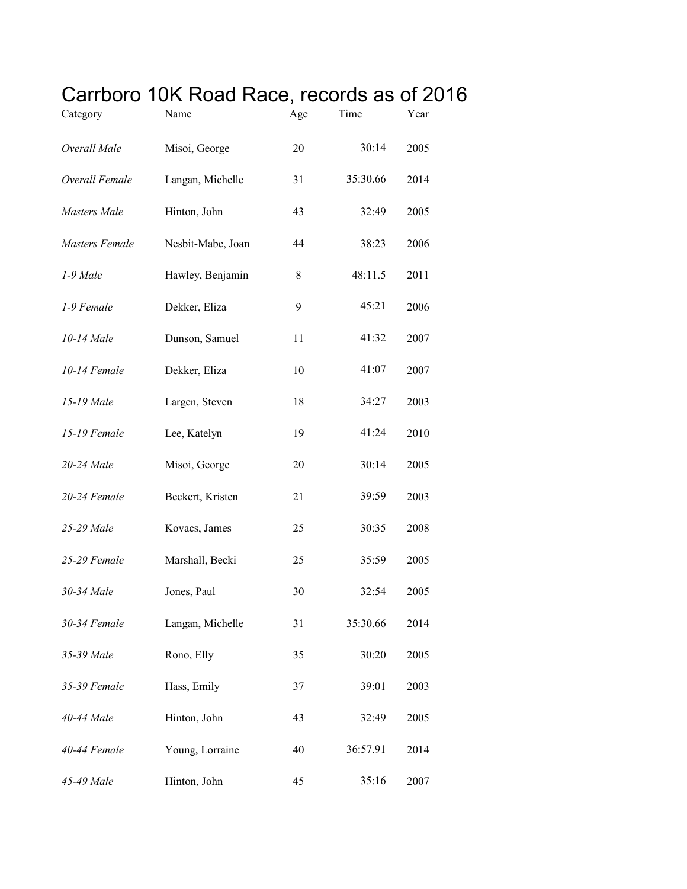## Carrboro 10K Road Race, records as of 2016

| Category              | Name              | Age | Time     | Year |
|-----------------------|-------------------|-----|----------|------|
| Overall Male          | Misoi, George     | 20  | 30:14    | 2005 |
| Overall Female        | Langan, Michelle  | 31  | 35:30.66 | 2014 |
| Masters Male          | Hinton, John      | 43  | 32:49    | 2005 |
| <b>Masters Female</b> | Nesbit-Mabe, Joan | 44  | 38:23    | 2006 |
| 1-9 Male              | Hawley, Benjamin  | 8   | 48:11.5  | 2011 |
| 1-9 Female            | Dekker, Eliza     | 9   | 45:21    | 2006 |
| 10-14 Male            | Dunson, Samuel    | 11  | 41:32    | 2007 |
| 10-14 Female          | Dekker, Eliza     | 10  | 41:07    | 2007 |
| 15-19 Male            | Largen, Steven    | 18  | 34:27    | 2003 |
| 15-19 Female          | Lee, Katelyn      | 19  | 41:24    | 2010 |
| 20-24 Male            | Misoi, George     | 20  | 30:14    | 2005 |
| 20-24 Female          | Beckert, Kristen  | 21  | 39:59    | 2003 |
| 25-29 Male            | Kovacs, James     | 25  | 30:35    | 2008 |
| 25-29 Female          | Marshall, Becki   | 25  | 35:59    | 2005 |
| 30-34 Male            | Jones, Paul       | 30  | 32:54    | 2005 |
| 30-34 Female          | Langan, Michelle  | 31  | 35:30.66 | 2014 |
| 35-39 Male            | Rono, Elly        | 35  | 30:20    | 2005 |
| 35-39 Female          | Hass, Emily       | 37  | 39:01    | 2003 |
| 40-44 Male            | Hinton, John      | 43  | 32:49    | 2005 |
| 40-44 Female          | Young, Lorraine   | 40  | 36:57.91 | 2014 |
| 45-49 Male            | Hinton, John      | 45  | 35:16    | 2007 |